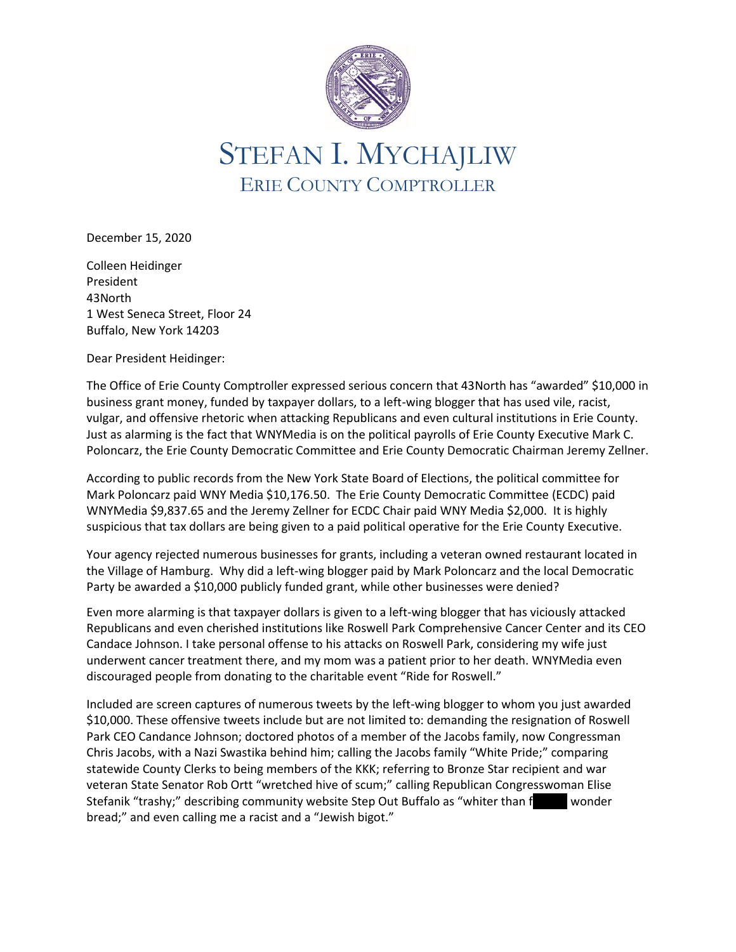

## STEFAN I. MYCHAJLIW ERIE COUNTY COMPTROLLER

December 15, 2020

Colleen Heidinger President 43North 1 West Seneca Street, Floor 24 Buffalo, New York 14203

Dear President Heidinger:

The Office of Erie County Comptroller expressed serious concern that 43North has "awarded" \$10,000 in business grant money, funded by taxpayer dollars, to a left-wing blogger that has used vile, racist, vulgar, and offensive rhetoric when attacking Republicans and even cultural institutions in Erie County. Just as alarming is the fact that WNYMedia is on the political payrolls of Erie County Executive Mark C. Poloncarz, the Erie County Democratic Committee and Erie County Democratic Chairman Jeremy Zellner.

According to public records from the New York State Board of Elections, the political committee for Mark Poloncarz paid WNY Media \$10,176.50. The Erie County Democratic Committee (ECDC) paid WNYMedia \$9,837.65 and the Jeremy Zellner for ECDC Chair paid WNY Media \$2,000. It is highly suspicious that tax dollars are being given to a paid political operative for the Erie County Executive.

Your agency rejected numerous businesses for grants, including a veteran owned restaurant located in the Village of Hamburg. Why did a left-wing blogger paid by Mark Poloncarz and the local Democratic Party be awarded a \$10,000 publicly funded grant, while other businesses were denied?

Even more alarming is that taxpayer dollars is given to a left-wing blogger that has viciously attacked Republicans and even cherished institutions like Roswell Park Comprehensive Cancer Center and its CEO Candace Johnson. I take personal offense to his attacks on Roswell Park, considering my wife just underwent cancer treatment there, and my mom was a patient prior to her death. WNYMedia even discouraged people from donating to the charitable event "Ride for Roswell."

Included are screen captures of numerous tweets by the left-wing blogger to whom you just awarded \$10,000. These offensive tweets include but are not limited to: demanding the resignation of Roswell Park CEO Candance Johnson; doctored photos of a member of the Jacobs family, now Congressman Chris Jacobs, with a Nazi Swastika behind him; calling the Jacobs family "White Pride;" comparing statewide County Clerks to being members of the KKK; referring to Bronze Star recipient and war veteran State Senator Rob Ortt "wretched hive of scum;" calling Republican Congresswoman Elise Stefanik "trashy;" describing community website Step Out Buffalo as "whiter than function wonder bread;" and even calling me a racist and a "Jewish bigot."